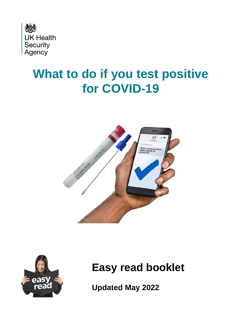

# **What to do if you test positive for COVID-19**





#### **Easy read booklet**

**Updated May 2022**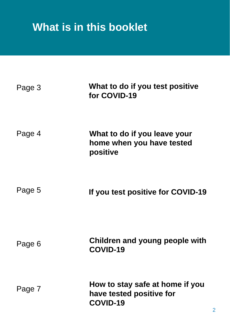## **What is in this booklet**

| Page 3 | What to do if you test positive<br>for COVID-19                         |
|--------|-------------------------------------------------------------------------|
| Page 4 | What to do if you leave your<br>home when you have tested<br>positive   |
| Page 5 | If you test positive for COVID-19                                       |
| Page 6 | Children and young people with<br>COVID-19                              |
| Page 7 | How to stay safe at home if you<br>have tested positive for<br>COVID-19 |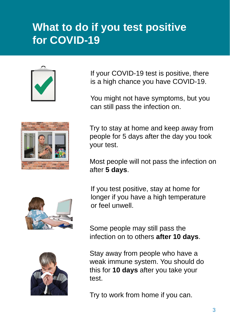#### **What to do if you test positive for COVID-19**



If your COVID-19 test is positive, there is a high chance you have COVID-19.

You might not have symptoms, but you can still pass the infection on.

Try to stay at home and keep away from people for 5 days after the day you took your test.

Most people will not pass the infection on after **5 days**.



If you test positive, stay at home for longer if you have a high temperature or feel unwell.

Some people may still pass the infection on to others **after 10 days**.

Stay away from people who have a weak immune system. You should do this for **10 days** after you take your test.

Try to work from home if you can.

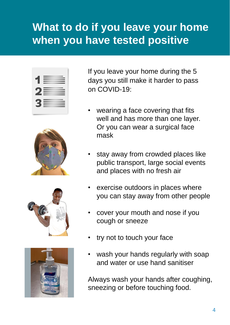#### **What to do if you leave your home when you have tested positive**









If you leave your home during the 5 days you still make it harder to pass on COVID-19:

- wearing a face covering that fits well and has more than one layer. Or you can wear a surgical face mask
- stay away from crowded places like public transport, large social events and places with no fresh air
- exercise outdoors in places where you can stay away from other people
- cover your mouth and nose if you cough or sneeze
- try not to touch your face
- wash your hands regularly with soap and water or use hand sanitiser

Always wash your hands after coughing, sneezing or before touching food.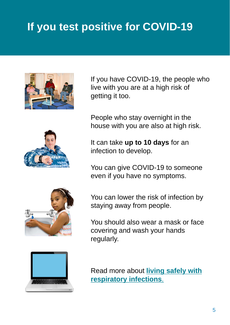## **If you test positive for COVID-19**



If you have COVID-19, the people who live with you are at a high risk of getting it too.



People who stay overnight in the house with you are also at high risk.

It can take **up to 10 days** for an infection to develop.

You can give COVID-19 to someone even if you have no symptoms.

You can lower the risk of infection by staying away from people.

You should also wear a mask or face covering and wash your hands regularly.



Read more about **living safely with [respiratory infections](https://www.gov.uk/guidance/living-safely-with-respiratory-infections-including-covid-19)**.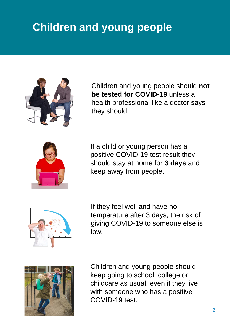### **Children and young people**



Children and young people should **not be tested for COVID-19** unless a health professional like a doctor says they should.



If a child or young person has a positive COVID-19 test result they should stay at home for **3 days** and keep away from people.



If they feel well and have no temperature after 3 days, the risk of giving COVID-19 to someone else is low.



Children and young people should keep going to school, college or childcare as usual, even if they live with someone who has a positive COVID-19 test.